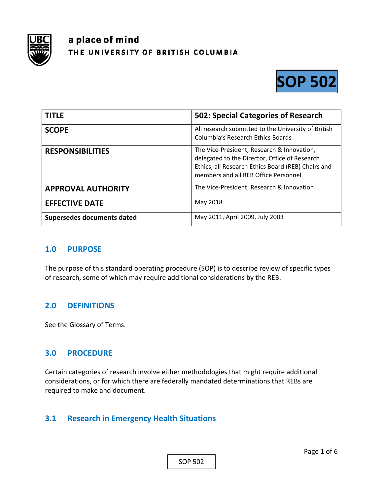

# a place of mind THE UNIVERSITY OF BRITISH COLUMBIA



| <b>TITLE</b>               | 502: Special Categories of Research                                                                                                                                                       |
|----------------------------|-------------------------------------------------------------------------------------------------------------------------------------------------------------------------------------------|
| <b>SCOPE</b>               | All research submitted to the University of British<br>Columbia's Research Ethics Boards                                                                                                  |
| <b>RESPONSIBILITIES</b>    | The Vice-President, Research & Innovation,<br>delegated to the Director, Office of Research<br>Ethics, all Research Ethics Board (REB) Chairs and<br>members and all REB Office Personnel |
| <b>APPROVAL AUTHORITY</b>  | The Vice-President, Research & Innovation                                                                                                                                                 |
| <b>EFFECTIVE DATE</b>      | May 2018                                                                                                                                                                                  |
| Supersedes documents dated | May 2011, April 2009, July 2003                                                                                                                                                           |

#### **1.0 PURPOSE**

The purpose of this standard operating procedure (SOP) is to describe review of specific types of research, some of which may require additional considerations by the REB.

#### **2.0 DEFINITIONS**

See the Glossary of Terms.

#### **3.0 PROCEDURE**

Certain categories of research involve either methodologies that might require additional considerations, or for which there are federally mandated determinations that REBs are required to make and document.

### **3.1 Research in Emergency Health Situations**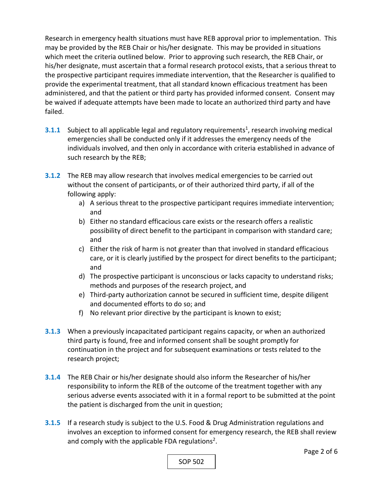Research in emergency health situations must have REB approval prior to implementation. This may be provided by the REB Chair or his/her designate. This may be provided in situations which meet the criteria outlined below. Prior to approving such research, the REB Chair, or his/her designate, must ascertain that a formal research protocol exists, that a serious threat to the prospective participant requires immediate intervention, that the Researcher is qualified to provide the experimental treatment, that all standard known efficacious treatment has been administered, and that the patient or third party has provided informed consent. Consent may be waived if adequate attempts have been made to locate an authorized third party and have failed.

- **3.1.1** Subject to all applicable legal and regulatory requirements<sup>1</sup>, research involving medical emergencies shall be conducted only if it addresses the emergency needs of the individuals involved, and then only in accordance with criteria established in advance of such research by the REB;
- **3.1.2** The REB may allow research that involves medical emergencies to be carried out without the consent of participants, or of their authorized third party, if all of the following apply:
	- a) A serious threat to the prospective participant requires immediate intervention; and
	- b) Either no standard efficacious care exists or the research offers a realistic possibility of direct benefit to the participant in comparison with standard care; and
	- c) Either the risk of harm is not greater than that involved in standard efficacious care, or it is clearly justified by the prospect for direct benefits to the participant; and
	- d) The prospective participant is unconscious or lacks capacity to understand risks; methods and purposes of the research project, and
	- e) Third‐party authorization cannot be secured in sufficient time, despite diligent and documented efforts to do so; and
	- f) No relevant prior directive by the participant is known to exist;
- **3.1.3**  When a previously incapacitated participant regains capacity, or when an authorized third party is found, free and informed consent shall be sought promptly for continuation in the project and for subsequent examinations or tests related to the research project;
- **3.1.4**  The REB Chair or his/her designate should also inform the Researcher of his/her responsibility to inform the REB of the outcome of the treatment together with any serious adverse events associated with it in a formal report to be submitted at the point the patient is discharged from the unit in question;
- **3.1.5**  If a research study is subject to the U.S. Food & Drug Administration regulations and involves an exception to informed consent for emergency research, the REB shall review and comply with the applicable FDA regulations<sup>2</sup>.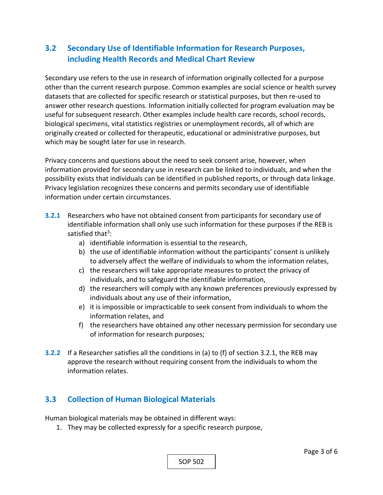# **3.2 Secondary Use of Identifiable Information for Research Purposes, including Health Records and Medical Chart Review**

Secondary use refers to the use in research of information originally collected for a purpose other than the current research purpose. Common examples are social science or health survey datasets that are collected for specific research or statistical purposes, but then re‐used to answer other research questions. Information initially collected for program evaluation may be useful for subsequent research. Other examples include health care records, school records, biological specimens, vital statistics registries or unemployment records, all of which are originally created or collected for therapeutic, educational or administrative purposes, but which may be sought later for use in research.

Privacy concerns and questions about the need to seek consent arise, however, when information provided for secondary use in research can be linked to individuals, and when the possibility exists that individuals can be identified in published reports, or through data linkage. Privacy legislation recognizes these concerns and permits secondary use of identifiable information under certain circumstances.

- **3.2.1** Researchers who have not obtained consent from participants for secondary use of identifiable information shall only use such information for these purposes if the REB is satisfied that<sup>3</sup>:
	- a) identifiable information is essential to the research,
	- b) the use of identifiable information without the participants' consent is unlikely to adversely affect the welfare of individuals to whom the information relates,
	- c) the researchers will take appropriate measures to protect the privacy of individuals, and to safeguard the identifiable information,
	- d) the researchers will comply with any known preferences previously expressed by individuals about any use of their information,
	- e) it is impossible or impracticable to seek consent from individuals to whom the information relates, and
	- f) the researchers have obtained any other necessary permission for secondary use of information for research purposes;
- **3.2.2**  If a Researcher satisfies all the conditions in (a) to (f) of section 3.2.1, the REB may approve the research without requiring consent from the individuals to whom the information relates.

## **3.3 Collection of Human Biological Materials**

Human biological materials may be obtained in different ways:

1. They may be collected expressly for a specific research purpose,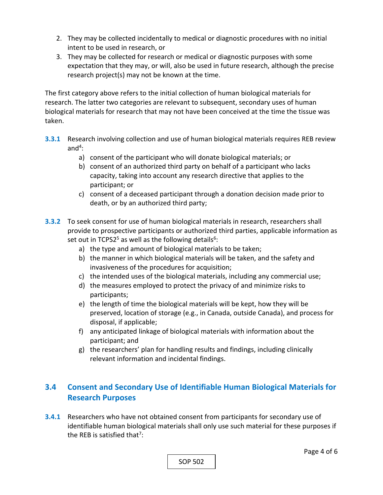- 2. They may be collected incidentally to medical or diagnostic procedures with no initial intent to be used in research, or
- 3. They may be collected for research or medical or diagnostic purposes with some expectation that they may, or will, also be used in future research, although the precise research project(s) may not be known at the time.

The first category above refers to the initial collection of human biological materials for research. The latter two categories are relevant to subsequent, secondary uses of human biological materials for research that may not have been conceived at the time the tissue was taken.

- **3.3.1** Research involving collection and use of human biological materials requires REB review and $4$ :
	- a) consent of the participant who will donate biological materials; or
	- b) consent of an authorized third party on behalf of a participant who lacks capacity, taking into account any research directive that applies to the participant; or
	- c) consent of a deceased participant through a donation decision made prior to death, or by an authorized third party;
- **3.3.2**  To seek consent for use of human biological materials in research, researchers shall provide to prospective participants or authorized third parties, applicable information as set out in TCPS2 $5$  as well as the following details $6$ :
	- a) the type and amount of biological materials to be taken;
	- b) the manner in which biological materials will be taken, and the safety and invasiveness of the procedures for acquisition;
	- c) the intended uses of the biological materials, including any commercial use;
	- d) the measures employed to protect the privacy of and minimize risks to participants;
	- e) the length of time the biological materials will be kept, how they will be preserved, location of storage (e.g., in Canada, outside Canada), and process for disposal, if applicable;
	- f) any anticipated linkage of biological materials with information about the participant; and
	- g) the researchers' plan for handling results and findings, including clinically relevant information and incidental findings.

# **3.4 Consent and Secondary Use of Identifiable Human Biological Materials for Research Purposes**

**3.4.1**  Researchers who have not obtained consent from participants for secondary use of identifiable human biological materials shall only use such material for these purposes if the REB is satisfied that<sup>7</sup>:

SOP 502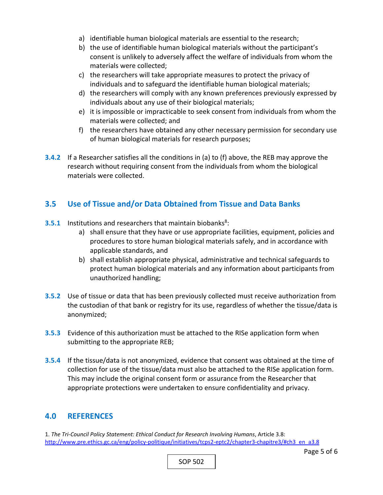- a) identifiable human biological materials are essential to the research;
- b) the use of identifiable human biological materials without the participant's consent is unlikely to adversely affect the welfare of individuals from whom the materials were collected;
- c) the researchers will take appropriate measures to protect the privacy of individuals and to safeguard the identifiable human biological materials;
- d) the researchers will comply with any known preferences previously expressed by individuals about any use of their biological materials;
- e) it is impossible or impracticable to seek consent from individuals from whom the materials were collected; and
- f) the researchers have obtained any other necessary permission for secondary use of human biological materials for research purposes;
- **3.4.2**  If a Researcher satisfies all the conditions in (a) to (f) above, the REB may approve the research without requiring consent from the individuals from whom the biological materials were collected.

# **3.5 Use of Tissue and/or Data Obtained from Tissue and Data Banks**

- **3.5.1** Institutions and researchers that maintain biobanks<sup>8</sup>:
	- a) shall ensure that they have or use appropriate facilities, equipment, policies and procedures to store human biological materials safely, and in accordance with applicable standards, and
	- b) shall establish appropriate physical, administrative and technical safeguards to protect human biological materials and any information about participants from unauthorized handling;
- **3.5.2**  Use of tissue or data that has been previously collected must receive authorization from the custodian of that bank or registry for its use, regardless of whether the tissue/data is anonymized;
- **3.5.3**  Evidence of this authorization must be attached to the RISe application form when submitting to the appropriate REB;
- **3.5.4**  If the tissue/data is not anonymized, evidence that consent was obtained at the time of collection for use of the tissue/data must also be attached to the RISe application form. This may include the original consent form or assurance from the Researcher that appropriate protections were undertaken to ensure confidentiality and privacy.

#### **4.0 REFERENCES**

1. *The Tri‐Council Policy Statement: Ethical Conduct for Research Involving Humans*, Article 3.8: http://www.pre.ethics.gc.ca/eng/policy-politique/initiatives/tcps2-eptc2/chapter3-chapitre3/#ch3\_en\_a3.8